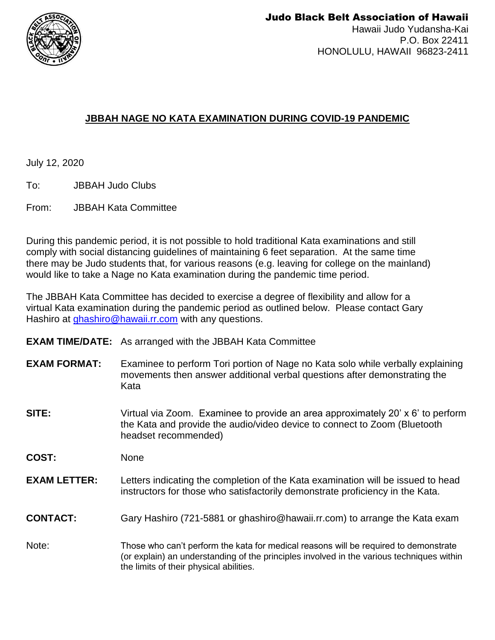

## **JBBAH NAGE NO KATA EXAMINATION DURING COVID-19 PANDEMIC**

July 12, 2020

To: JBBAH Judo Clubs

From: JBBAH Kata Committee

During this pandemic period, it is not possible to hold traditional Kata examinations and still comply with social distancing guidelines of maintaining 6 feet separation. At the same time there may be Judo students that, for various reasons (e.g. leaving for college on the mainland) would like to take a Nage no Kata examination during the pandemic time period.

The JBBAH Kata Committee has decided to exercise a degree of flexibility and allow for a virtual Kata examination during the pandemic period as outlined below. Please contact Gary Hashiro at [ghashiro@hawaii.rr.com](mailto:ghashiro@hawaii.rr.com) with any questions.

**EXAM TIME/DATE:** As arranged with the JBBAH Kata Committee

- **EXAM FORMAT:** Examinee to perform Tori portion of Nage no Kata solo while verbally explaining movements then answer additional verbal questions after demonstrating the Kata
- **SITE:** Virtual via Zoom. Examinee to provide an area approximately 20' x 6' to perform the Kata and provide the audio/video device to connect to Zoom (Bluetooth headset recommended)
- **COST:** None
- **EXAM LETTER:** Letters indicating the completion of the Kata examination will be issued to head instructors for those who satisfactorily demonstrate proficiency in the Kata.

### **CONTACT:** Gary Hashiro (721-5881 or ghashiro@hawaii.rr.com) to arrange the Kata exam

Note: Those who can't perform the kata for medical reasons will be required to demonstrate (or explain) an understanding of the principles involved in the various techniques within the limits of their physical abilities.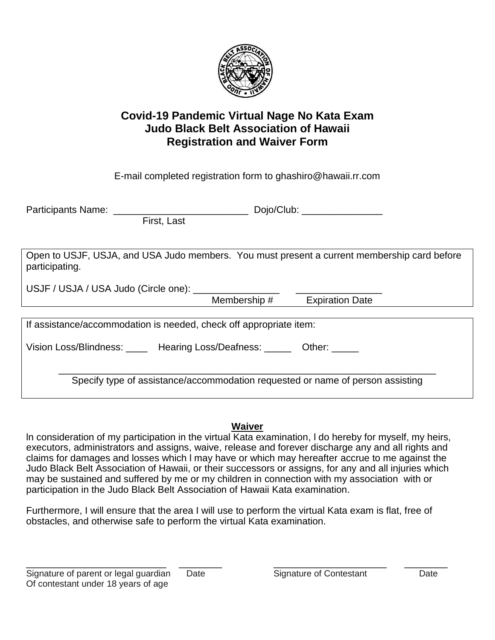

# **Covid-19 Pandemic Virtual Nage No Kata Exam Judo Black Belt Association of Hawaii Registration and Waiver Form**

E-mail completed registration form to ghashiro@hawaii.rr.com

| Dojo/Club: ________________<br>First, Last                                                                    |
|---------------------------------------------------------------------------------------------------------------|
| Open to USJF, USJA, and USA Judo members. You must present a current membership card before<br>participating. |
| Membership #<br><b>Expiration Date</b>                                                                        |
| If assistance/accommodation is needed, check off appropriate item:                                            |
| Vision Loss/Blindness: ______ Hearing Loss/Deafness: ______ Other: _____                                      |
| Specify type of assistance/accommodation requested or name of person assisting                                |

**Waiver**

ln consideration of my participation in the virtual Kata examination, l do hereby for myself, my heirs, executors, administrators and assigns, waive, release and forever discharge any and all rights and claims for damages and losses which l may have or which may hereafter accrue to me against the Judo Black Belt Association of Hawaii, or their successors or assigns, for any and all injuries which may be sustained and suffered by me or my children in connection with my association with or participation in the Judo Black Belt Association of Hawaii Kata examination.

Furthermore, I will ensure that the area I will use to perform the virtual Kata exam is flat, free of obstacles, and otherwise safe to perform the virtual Kata examination.

\_\_\_\_\_\_\_\_\_\_\_\_\_\_\_\_\_\_\_\_\_\_\_\_\_\_ \_\_\_\_\_\_\_\_ \_\_\_\_\_\_\_\_\_\_\_\_\_\_\_\_\_\_\_\_\_ \_\_\_\_\_\_\_\_